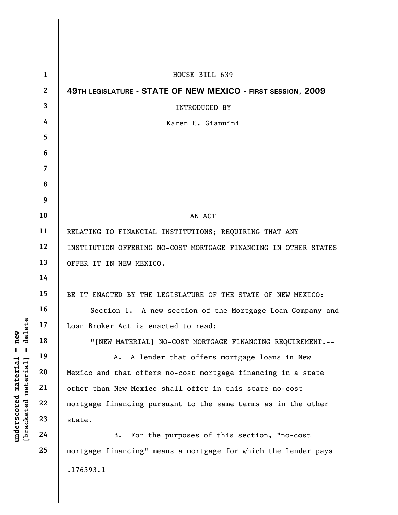| $\mathbf{1}$     | HOUSE BILL 639                                                  |  |  |  |  |  |  |  |
|------------------|-----------------------------------------------------------------|--|--|--|--|--|--|--|
| $\boldsymbol{2}$ | 49TH LEGISLATURE - STATE OF NEW MEXICO - FIRST SESSION, 2009    |  |  |  |  |  |  |  |
| 3                | <b>INTRODUCED BY</b>                                            |  |  |  |  |  |  |  |
| 4                | Karen E. Giannini                                               |  |  |  |  |  |  |  |
| 5                |                                                                 |  |  |  |  |  |  |  |
| 6                |                                                                 |  |  |  |  |  |  |  |
| 7                |                                                                 |  |  |  |  |  |  |  |
| 8                |                                                                 |  |  |  |  |  |  |  |
| 9                |                                                                 |  |  |  |  |  |  |  |
| 10               | AN ACT                                                          |  |  |  |  |  |  |  |
| 11               | RELATING TO FINANCIAL INSTITUTIONS; REQUIRING THAT ANY          |  |  |  |  |  |  |  |
| 12               | INSTITUTION OFFERING NO-COST MORTGAGE FINANCING IN OTHER STATES |  |  |  |  |  |  |  |
| 13               | OFFER IT IN NEW MEXICO.                                         |  |  |  |  |  |  |  |
| 14               |                                                                 |  |  |  |  |  |  |  |
| 15               | BE IT ENACTED BY THE LEGISLATURE OF THE STATE OF NEW MEXICO:    |  |  |  |  |  |  |  |
| 16               | Section 1. A new section of the Mortgage Loan Company and       |  |  |  |  |  |  |  |
| 17               | Loan Broker Act is enacted to read:                             |  |  |  |  |  |  |  |
| 18               | "[NEW MATERIAL] NO-COST MORTGAGE FINANCING REQUIREMENT.--       |  |  |  |  |  |  |  |
| 19               | A lender that offers mortgage loans in New<br>A.                |  |  |  |  |  |  |  |
| 20               | Mexico and that offers no-cost mortgage financing in a state    |  |  |  |  |  |  |  |
| 21               | other than New Mexico shall offer in this state no-cost         |  |  |  |  |  |  |  |
| 22               | mortgage financing pursuant to the same terms as in the other   |  |  |  |  |  |  |  |
| 23               | state.                                                          |  |  |  |  |  |  |  |
| 24               | For the purposes of this section, "no-cost<br>B.                |  |  |  |  |  |  |  |
| 25               | mortgage financing" means a mortgage for which the lender pays  |  |  |  |  |  |  |  |
|                  | .176393.1                                                       |  |  |  |  |  |  |  |

**underscored material = new [bracketed material] = delete**

[bracketed material] = delete  $underscored material = new$ 

 $\mathbf{I}$